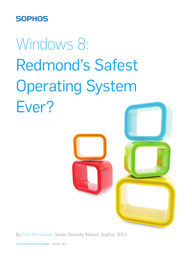# **SOPHOS**

# Windows 8: Redmond's Safest Operating System Ever?



By Chet Wisniewski, Senior Security Advisor, Sophos, 2012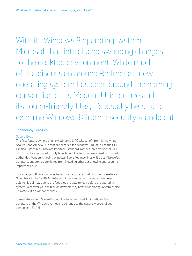With its Windows 8 operating system Microsoft has introduced sweeping changes to the desktop environment. While much of the discussion around Redmond's new operating system has been around the naming convention of its Modern UI interface and its touch-friendly tiles, it's equally helpful to examine Windows 8 from a security standpoint.

## Technology Features

### Secure Boot

The first feature owners of a new Windows 8 PC will benefit from is known as Secure Boot. All new PCs that are certified for Windows 8 must utilize the UEFI (Unified Extensible Firmware Interface) standard, rather than a traditional BIOS. UEFI must be configured to only launch boot loaders that are signed by trusted authorities. Vendors shipping Windows 8 certified machines will trust Microsoft's signature, but are not prohibited from including others or allowing end-users to import their own.

This change will go a long way towards ending traditional boot sector malware. Going back to the 1980s MBR-based viruses and other malware have been able to hide simply due to the fact they are able to load before the operating system. Whatever your opinion on how this may restrict operating system choice, ultimately, it's a win for security.

Immediately after Microsoft's boot loader is launched it will validate the signature of the Windows kernel and continue to the next new optional boot component, ELAM.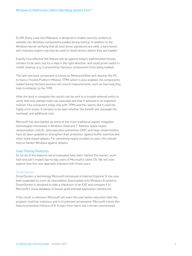ELAM (Early Load Anti Malware) is designed to enable security vendors to validate non-Windows components loaded during startup. In addition to the Windows kernel verifying that all boot driver signatures are valid, a bare-bones anti-malware engine may also be used to check drivers before they are loaded.

Exactly how effective the feature will be against today's sophisticated threats remains to be seen, but it's a step in the right direction, and could prove useful in rootkit cleanup (e.g. in preventing malicious components from being loaded).

The last new boot component is known as Measured Boot and requires the PC to have a Trusted Platform Module (TPM) which is also enabled. All components loaded during the boot process will record measurements, such as how long they took to initialize, to the TPM.

After the boot is complete the results can be sent to a trusted external entity to verify that only wanted code was executed and that it behaved in an expected manner. Few computers today ship with TPMs and this seems like it could be highly error-prone. It remains to be seen whether the benefit will outweigh the overhead, and additional cost.

Microsoft has also beefed up some of the more traditional exploit mitigation technologies introduced in Windows Vista and 7. Address space layout randomization (ASLR), data execution prevention (DEP) and heap randomization have all been updated to strengthen their protection against buffer overflow and other stack-based attacks. For something nearly invisible to users, this should help to harden Windows against attacks.

#### User-Facing Features

So far all of the features we've evaluated have been "behind the scenes" work that shouldn't impact day-to-day users of Microsoft's latest OS. We will now explore how this new approach interacts with those users.

#### **SmartScreen**

SmartScreen, a technology Microsoft introduced in Internet Explorer 9, has now been expanded to cover all executables downloaded onto Windows 8 systems. SmartScreen is designed to take a checksum of an EXE and compare it to Microsoft's cloud database of known good and bad application checksums.

If the result is unknown, Microsoft will warn the user before execution that this program could be malicious and is of unknown provenance. Microsoft insists this feature protected millions of IE 9 users from harm, but I remain unconvinced.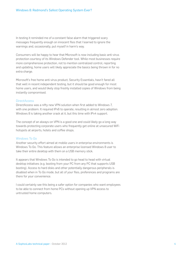In testing it reminded me of a constant false alarm that triggered scary messages frequently enough on innocent files that I learned to ignore the warnings and, occasionally, put myself in harm's way.

Consumers will be happy to hear that Microsoft is now including basic anti-virus protection courtesy of its Windows Defender tool. While most businesses require more comprehensive protection, not to mention centralized control, reporting and updating, home users will likely appreciate the basics being thrown in for no extra charge.

Microsoft's free home anti-virus product, Security Essentials, hasn't fared all that well in recent independent testing, but it should be good enough for most home users, and would likely stop freshly installed copies of Windows from being instantly compromised.

#### **DirectAccess**

DirectAccess was a nifty new VPN solution when first added to Windows 7, with one problem. It required IPv6 to operate, resulting in almost zero adoption. Windows 8 is taking another crack at it, but this time with IPv4 support.

The concept of an always-on VPN is a good one and could likely go a long way towards protecting corporate users who frequently get online at unsecured WiFi hotspots at airports, hotels and coffee shops.

#### Windows To Go

Another security effort aimed at mobile users in enterprise environments is Windows To Go. This feature allows an enterprise licensed Windows 8 user to take their entire desktop with them on a USB memory stick.

It appears that Windows To Go is intended to go head to head with virtual desktop initiatives (e.g. booting from your PC from any PC that supports USB booting). Access to hard disks and other potentially dangerous peripherals is disabled when in To Go mode, but all of your files, preferences and programs are there for your convenience.

I could certainly see this being a safer option for companies who want employees to be able to connect from home PCs without opening up VPN access to untrusted home computers.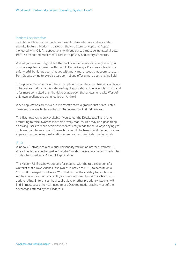#### Modern User Interface

Last, but not least, is the much discussed Modern Interface and associated security features. Modern is based on the App Store concept that Apple pioneered with iOS. All applications (with one caveat) must be installed directly from Microsoft and must meet Microsoft's privacy and safety standards.

Walled gardens sound good, but the devil is in the details especially when you compare Apple's approach with that of Google. Google Play has evolved into a safer world, but it has been plagued with many more issues that seem to result from Google trying to exercise less control and offer a more open playing field.

Enterprise environments will have the option to load their own trusted certificate onto devices that will allow side-loading of applications. This is similar to iOS and is far more controlled than the tick-box approach that allows for a wild West of unknown applications being loaded on Android.

When applications are viewed in Microsoft's store a granular list of requested permissions is available, similar to what is seen on Android devices.

This list, however, is only available if you select the Details tab. There is no prompting to raise awareness of this privacy feature. This may be a good thing as asking users to make decisions too frequently leads to the "always saying yes" problem that plagues SmartScreen, but it would be beneficial if the permissions appeared on the default installation screen rather than hidden behind a tab.

#### IE 10

Windows 8 introduces a new dual personality version of Internet Explorer 10. While IE is largely unchanged in "Desktop" mode, it operates in a far more limited mode when used as a Modern UI application.

The Modern UI IE eschews support for plugins, with the rare exception of a whitelist that allows Adobe Flash (which is native to IE 10) to execute on a Microsoft managed list of sites. With that comes the inability to patch when Adobe announces their availability as users will need to wait for a Microsoft update rollup. Enterprises that require Java or other proprietary plugins will find, in most cases, they will need to use Desktop mode, erasing most of the advantages offered by the Modern UI.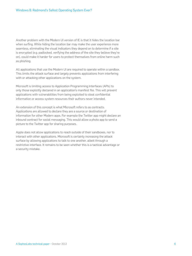Another problem with the Modern UI version of IE is that it hides the location bar when surfing. While hiding the location bar may make the user experience more seamless, eliminating the visual indicators they depend on to determine if a site is encrypted (e.g. padlocked, verifying the address of the site they believe they're on), could make it harder for users to protect themselves from online harm such as phishing.

All applications that use the Modern UI are required to operate within a sandbox. This limits the attack surface and largely prevents applications from interfering with or attacking other applications on the system.

Microsoft is limiting access to Application Programming Interfaces (APIs) to only those explicitly declared in an application's manifest file. This will prevent applications with vulnerabilities from being exploited to steal confidential information or access system resources their authors never intended.

An extension of this concept is what Microsoft refers to as contracts. Applications are allowed to declare they are a source or destination of information for other Modern apps. For example the Twitter app might declare an inbound contract for social messaging. This would allow a photo app to send a picture to the Twitter app for sharing purposes.

Apple does not allow applications to reach outside of their sandboxes, nor to interact with other applications. Microsoft is certainly increasing the attack surface by allowing applications to talk to one another, albeit through a restrictive interface. It remains to be seen whether this is a tactical advantage or a security mistake.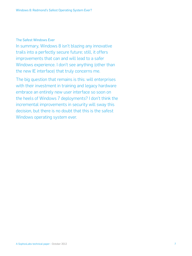# The Safest Windows Ever

In summary, Windows 8 isn't blazing any innovative trails into a perfectly secure future; still, it offers improvements that can and will lead to a safer Windows experience. I don't see anything (other than the new IE interface) that truly concerns me.

The big question that remains is this: will enterprises with their investment in training and legacy hardware embrace an entirely new user interface so soon on the heels of Windows 7 deployments? I don't think the incremental improvements in security will sway this decision, but there is no doubt that this is the safest Windows operating system ever.